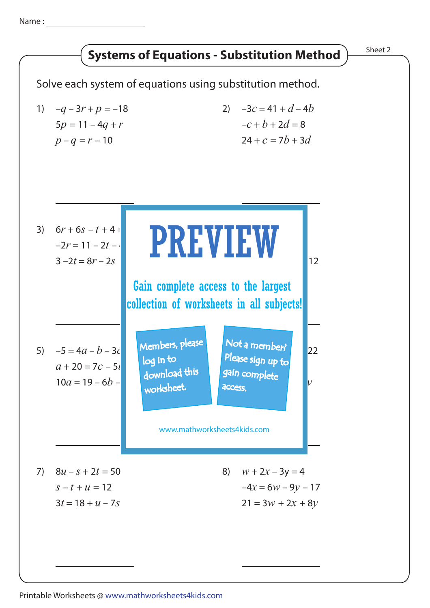Name :